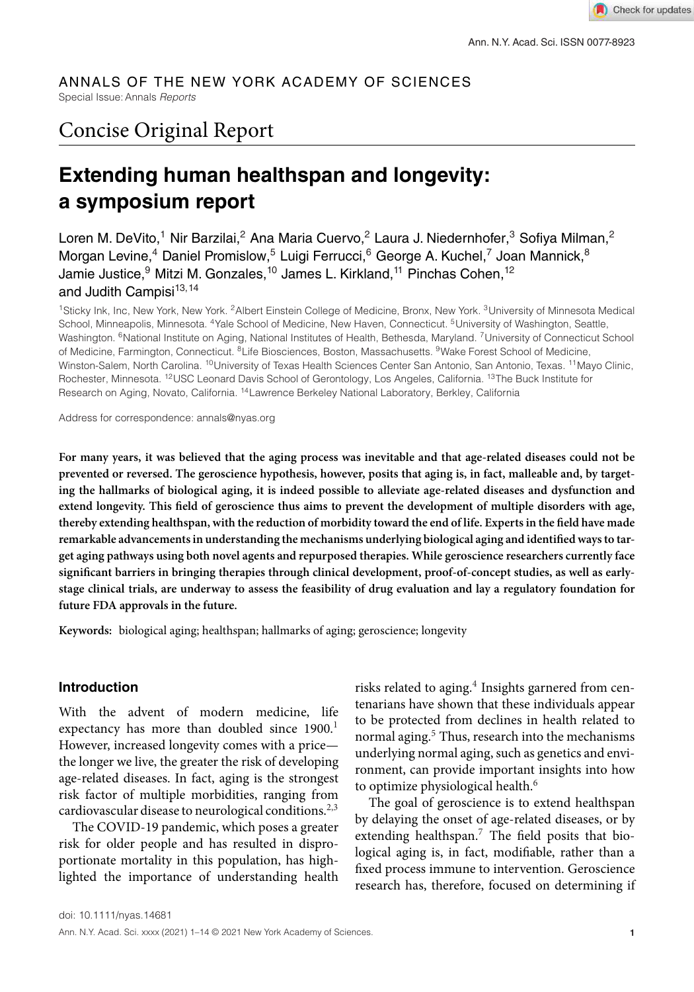#### ANNALS OF THE NEW YORK ACADEMY OF SCIENCES Special Issue: Annals Reports

# Concise Original Report

# **Extending human healthspan and longevity: a symposium report**

Loren M. DeVito,<sup>1</sup> Nir Barzilai,<sup>2</sup> Ana Maria Cuervo,<sup>2</sup> Laura J. Niedernhofer,<sup>3</sup> Sofiya Milman,<sup>2</sup> Morgan Levine,<sup>4</sup> Daniel Promislow,<sup>5</sup> Luigi Ferrucci,<sup>6</sup> George A. Kuchel,<sup>7</sup> Joan Mannick,<sup>8</sup> Jamie Justice,<sup>9</sup> Mitzi M. Gonzales,<sup>10</sup> James L. Kirkland,<sup>11</sup> Pinchas Cohen,<sup>12</sup> and Judith Campisi<sup>13,14</sup>

<sup>1</sup>Sticky Ink, Inc, New York, New York. <sup>2</sup>Albert Einstein College of Medicine, Bronx, New York. <sup>3</sup>University of Minnesota Medical School, Minneapolis, Minnesota. <sup>4</sup>Yale School of Medicine, New Haven, Connecticut. <sup>5</sup>University of Washington, Seattle, Washington. <sup>6</sup>National Institute on Aging, National Institutes of Health, Bethesda, Maryland. <sup>7</sup>University of Connecticut School of Medicine, Farmington, Connecticut. <sup>8</sup>Life Biosciences, Boston, Massachusetts. <sup>9</sup>Wake Forest School of Medicine, Winston-Salem, North Carolina. <sup>10</sup>University of Texas Health Sciences Center San Antonio, San Antonio, Texas. <sup>11</sup>Mayo Clinic, Rochester, Minnesota. <sup>12</sup>USC Leonard Davis School of Gerontology, Los Angeles, California. <sup>13</sup>The Buck Institute for Research on Aging, Novato, California. <sup>14</sup>Lawrence Berkeley National Laboratory, Berkley, California

Address for correspondence: annals@nyas.org

**For many years, it was believed that the aging process was inevitable and that age-related diseases could not be prevented or reversed. The geroscience hypothesis, however, posits that aging is, in fact, malleable and, by targeting the hallmarks of biological aging, it is indeed possible to alleviate age-related diseases and dysfunction and extend longevity. This field of geroscience thus aims to prevent the development of multiple disorders with age, thereby extending healthspan, with the reduction of morbidity toward the end of life. Experts in the field have made remarkable advancements in understanding the mechanisms underlying biological aging and identified ways to target aging pathways using both novel agents and repurposed therapies. While geroscience researchers currently face significant barriers in bringing therapies through clinical development, proof-of-concept studies, as well as earlystage clinical trials, are underway to assess the feasibility of drug evaluation and lay a regulatory foundation for future FDA approvals in the future.**

**Keywords:** biological aging; healthspan; hallmarks of aging; geroscience; longevity

#### **Introduction**

With the advent of modern medicine, life expectancy has more than doubled since 1900.<sup>1</sup> However, increased longevity comes with a price the longer we live, the greater the risk of developing age-related diseases. In fact, aging is the strongest risk factor of multiple morbidities, ranging from cardiovascular disease to neurological conditions.<sup>2,3</sup>

The COVID-19 pandemic, which poses a greater risk for older people and has resulted in disproportionate mortality in this population, has highlighted the importance of understanding health

risks related to aging.<sup>4</sup> Insights garnered from centenarians have shown that these individuals appear to be protected from declines in health related to normal aging.<sup>5</sup> Thus, research into the mechanisms underlying normal aging, such as genetics and environment, can provide important insights into how to optimize physiological health.<sup>6</sup>

The goal of geroscience is to extend healthspan by delaying the onset of age-related diseases, or by extending healthspan. $7$  The field posits that biological aging is, in fact, modifiable, rather than a fixed process immune to intervention. Geroscience research has, therefore, focused on determining if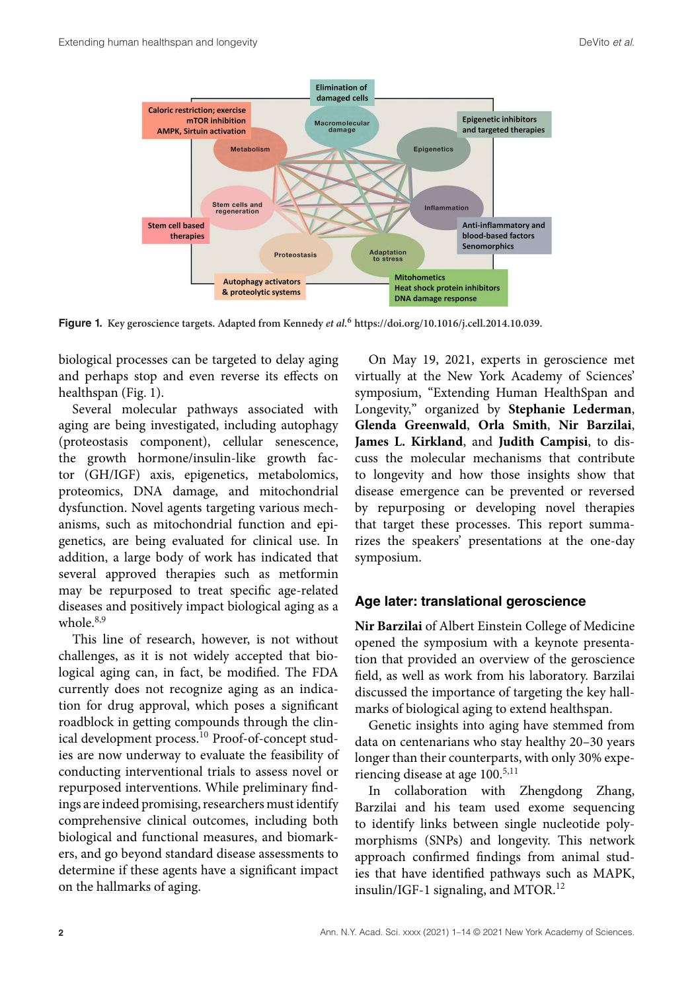

**Figure 1. Key geroscience targets. Adapted from Kennedy et al.<sup>6</sup> https://doi.org/10.1016/j.cell.2014.10.039.**

biological processes can be targeted to delay aging and perhaps stop and even reverse its effects on healthspan (Fig. 1).

Several molecular pathways associated with aging are being investigated, including autophagy (proteostasis component), cellular senescence, the growth hormone/insulin-like growth factor (GH/IGF) axis, epigenetics, metabolomics, proteomics, DNA damage, and mitochondrial dysfunction. Novel agents targeting various mechanisms, such as mitochondrial function and epigenetics, are being evaluated for clinical use. In addition, a large body of work has indicated that several approved therapies such as metformin may be repurposed to treat specific age-related diseases and positively impact biological aging as a whole  $8,9$ 

This line of research, however, is not without challenges, as it is not widely accepted that biological aging can, in fact, be modified. The FDA currently does not recognize aging as an indication for drug approval, which poses a significant roadblock in getting compounds through the clinical development process.<sup>10</sup> Proof-of-concept studies are now underway to evaluate the feasibility of conducting interventional trials to assess novel or repurposed interventions. While preliminary findings are indeed promising, researchers must identify comprehensive clinical outcomes, including both biological and functional measures, and biomarkers, and go beyond standard disease assessments to determine if these agents have a significant impact on the hallmarks of aging.

On May 19, 2021, experts in geroscience met virtually at the New York Academy of Sciences' symposium, "Extending Human HealthSpan and Longevity," organized by **Stephanie Lederman**, **Glenda Greenwald**, **Orla Smith**, **Nir Barzilai**, **James L. Kirkland**, and **Judith Campisi**, to discuss the molecular mechanisms that contribute to longevity and how those insights show that disease emergence can be prevented or reversed by repurposing or developing novel therapies that target these processes. This report summarizes the speakers' presentations at the one-day symposium.

#### **Age later: translational geroscience**

**Nir Barzilai** of Albert Einstein College of Medicine opened the symposium with a keynote presentation that provided an overview of the geroscience field, as well as work from his laboratory. Barzilai discussed the importance of targeting the key hallmarks of biological aging to extend healthspan.

Genetic insights into aging have stemmed from data on centenarians who stay healthy 20–30 years longer than their counterparts, with only 30% experiencing disease at age 100.<sup>5,11</sup>

In collaboration with Zhengdong Zhang, Barzilai and his team used exome sequencing to identify links between single nucleotide polymorphisms (SNPs) and longevity. This network approach confirmed findings from animal studies that have identified pathways such as MAPK, insulin/IGF-1 signaling, and MTOR. $^{12}$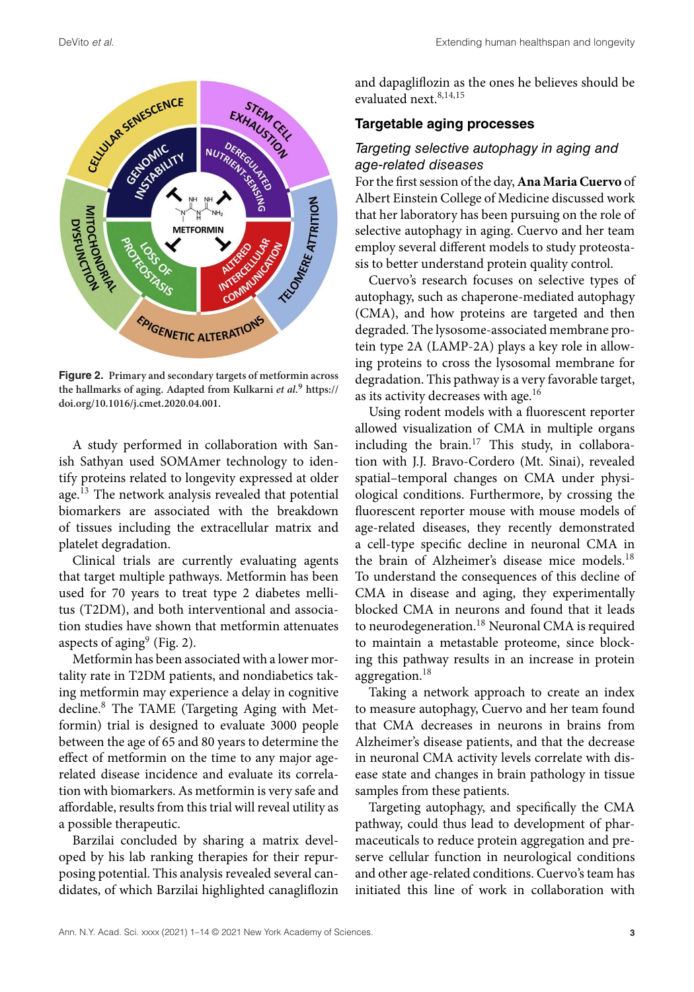

**Figure 2. Primary and secondary targets of metformin across the hallmarks of aging. Adapted from Kulkarni et al.<sup>9</sup> https:// doi.org/10.1016/j.cmet.2020.04.001.**

A study performed in collaboration with Sanish Sathyan used SOMAmer technology to identify proteins related to longevity expressed at older age.<sup>13</sup> The network analysis revealed that potential biomarkers are associated with the breakdown of tissues including the extracellular matrix and platelet degradation.

Clinical trials are currently evaluating agents that target multiple pathways. Metformin has been used for 70 years to treat type 2 diabetes mellitus (T2DM), and both interventional and association studies have shown that metformin attenuates aspects of aging $9$  (Fig. 2).

Metformin has been associated with a lower mortality rate in T2DM patients, and nondiabetics taking metformin may experience a delay in cognitive decline.<sup>8</sup> The TAME (Targeting Aging with Metformin) trial is designed to evaluate 3000 people between the age of 65 and 80 years to determine the effect of metformin on the time to any major agerelated disease incidence and evaluate its correlation with biomarkers. As metformin is very safe and affordable, results from this trial will reveal utility as a possible therapeutic.

Barzilai concluded by sharing a matrix developed by his lab ranking therapies for their repurposing potential. This analysis revealed several candidates, of which Barzilai highlighted canagliflozin and dapagliflozin as the ones he believes should be evaluated next.<sup>8,14,15</sup>

#### **Targetable aging processes**

## Targeting selective autophagy in aging and age-related diseases

For the first session of the day, **Ana Maria Cuervo** of Albert Einstein College of Medicine discussed work that her laboratory has been pursuing on the role of selective autophagy in aging. Cuervo and her team employ several different models to study proteostasis to better understand protein quality control.

Cuervo's research focuses on selective types of autophagy, such as chaperone-mediated autophagy (CMA), and how proteins are targeted and then degraded. The lysosome-associated membrane protein type 2A (LAMP-2A) plays a key role in allowing proteins to cross the lysosomal membrane for degradation. This pathway is a very favorable target, as its activity decreases with age.<sup>16</sup>

Using rodent models with a fluorescent reporter allowed visualization of CMA in multiple organs including the brain.<sup>17</sup> This study, in collaboration with J.J. Bravo-Cordero (Mt. Sinai), revealed spatial–temporal changes on CMA under physiological conditions. Furthermore, by crossing the fluorescent reporter mouse with mouse models of age-related diseases, they recently demonstrated a cell-type specific decline in neuronal CMA in the brain of Alzheimer's disease mice models.<sup>18</sup> To understand the consequences of this decline of CMA in disease and aging, they experimentally blocked CMA in neurons and found that it leads to neurodegeneration.<sup>18</sup> Neuronal CMA is required to maintain a metastable proteome, since blocking this pathway results in an increase in protein aggregation.<sup>18</sup>

Taking a network approach to create an index to measure autophagy, Cuervo and her team found that CMA decreases in neurons in brains from Alzheimer's disease patients, and that the decrease in neuronal CMA activity levels correlate with disease state and changes in brain pathology in tissue samples from these patients.

Targeting autophagy, and specifically the CMA pathway, could thus lead to development of pharmaceuticals to reduce protein aggregation and preserve cellular function in neurological conditions and other age-related conditions. Cuervo's team has initiated this line of work in collaboration with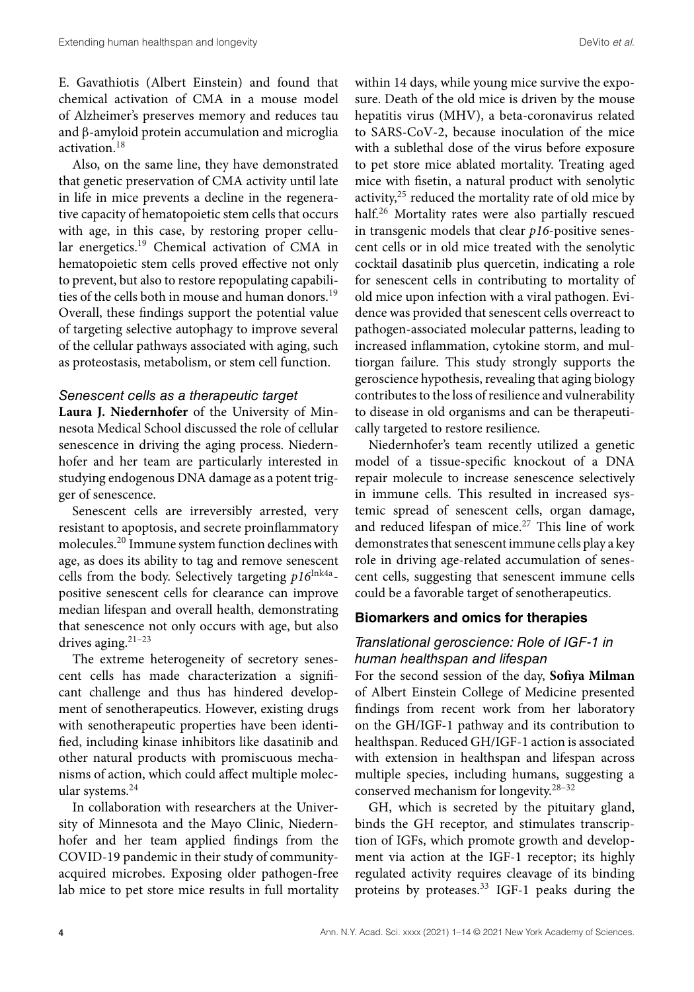E. Gavathiotis (Albert Einstein) and found that chemical activation of CMA in a mouse model of Alzheimer's preserves memory and reduces tau and β-amyloid protein accumulation and microglia activation.<sup>18</sup>

Also, on the same line, they have demonstrated that genetic preservation of CMA activity until late in life in mice prevents a decline in the regenerative capacity of hematopoietic stem cells that occurs with age, in this case, by restoring proper cellular energetics.<sup>19</sup> Chemical activation of CMA in hematopoietic stem cells proved effective not only to prevent, but also to restore repopulating capabilities of the cells both in mouse and human donors.<sup>19</sup> Overall, these findings support the potential value of targeting selective autophagy to improve several of the cellular pathways associated with aging, such as proteostasis, metabolism, or stem cell function.

#### Senescent cells as a therapeutic target

**Laura J. Niedernhofer** of the University of Minnesota Medical School discussed the role of cellular senescence in driving the aging process. Niedernhofer and her team are particularly interested in studying endogenous DNA damage as a potent trigger of senescence.

Senescent cells are irreversibly arrested, very resistant to apoptosis, and secrete proinflammatory molecules.<sup>20</sup> Immune system function declines with age, as does its ability to tag and remove senescent cells from the body. Selectively targeting  $p16^{\text{Ink4a}}$ positive senescent cells for clearance can improve median lifespan and overall health, demonstrating that senescence not only occurs with age, but also drives aging. $21-23$ 

The extreme heterogeneity of secretory senescent cells has made characterization a significant challenge and thus has hindered development of senotherapeutics. However, existing drugs with senotherapeutic properties have been identified, including kinase inhibitors like dasatinib and other natural products with promiscuous mechanisms of action, which could affect multiple molecular systems.<sup>24</sup>

In collaboration with researchers at the University of Minnesota and the Mayo Clinic, Niedernhofer and her team applied findings from the COVID-19 pandemic in their study of communityacquired microbes. Exposing older pathogen-free lab mice to pet store mice results in full mortality within 14 days, while young mice survive the exposure. Death of the old mice is driven by the mouse hepatitis virus (MHV), a beta-coronavirus related to SARS-CoV-2, because inoculation of the mice with a sublethal dose of the virus before exposure to pet store mice ablated mortality. Treating aged mice with fisetin, a natural product with senolytic activity,<sup>25</sup> reduced the mortality rate of old mice by half.<sup>26</sup> Mortality rates were also partially rescued in transgenic models that clear p16-positive senescent cells or in old mice treated with the senolytic cocktail dasatinib plus quercetin, indicating a role for senescent cells in contributing to mortality of old mice upon infection with a viral pathogen. Evidence was provided that senescent cells overreact to pathogen-associated molecular patterns, leading to increased inflammation, cytokine storm, and multiorgan failure. This study strongly supports the geroscience hypothesis, revealing that aging biology contributes to the loss of resilience and vulnerability to disease in old organisms and can be therapeutically targeted to restore resilience.

Niedernhofer's team recently utilized a genetic model of a tissue-specific knockout of a DNA repair molecule to increase senescence selectively in immune cells. This resulted in increased systemic spread of senescent cells, organ damage, and reduced lifespan of mice. $27$  This line of work demonstrates that senescent immune cells play a key role in driving age-related accumulation of senescent cells, suggesting that senescent immune cells could be a favorable target of senotherapeutics.

#### **Biomarkers and omics for therapies**

# Translational geroscience: Role of IGF-1 in human healthspan and lifespan

For the second session of the day, **Sofiya Milman** of Albert Einstein College of Medicine presented findings from recent work from her laboratory on the GH/IGF-1 pathway and its contribution to healthspan. Reduced GH/IGF-1 action is associated with extension in healthspan and lifespan across multiple species, including humans, suggesting a conserved mechanism for longevity.28–32

GH, which is secreted by the pituitary gland, binds the GH receptor, and stimulates transcription of IGFs, which promote growth and development via action at the IGF-1 receptor; its highly regulated activity requires cleavage of its binding proteins by proteases. $33$  IGF-1 peaks during the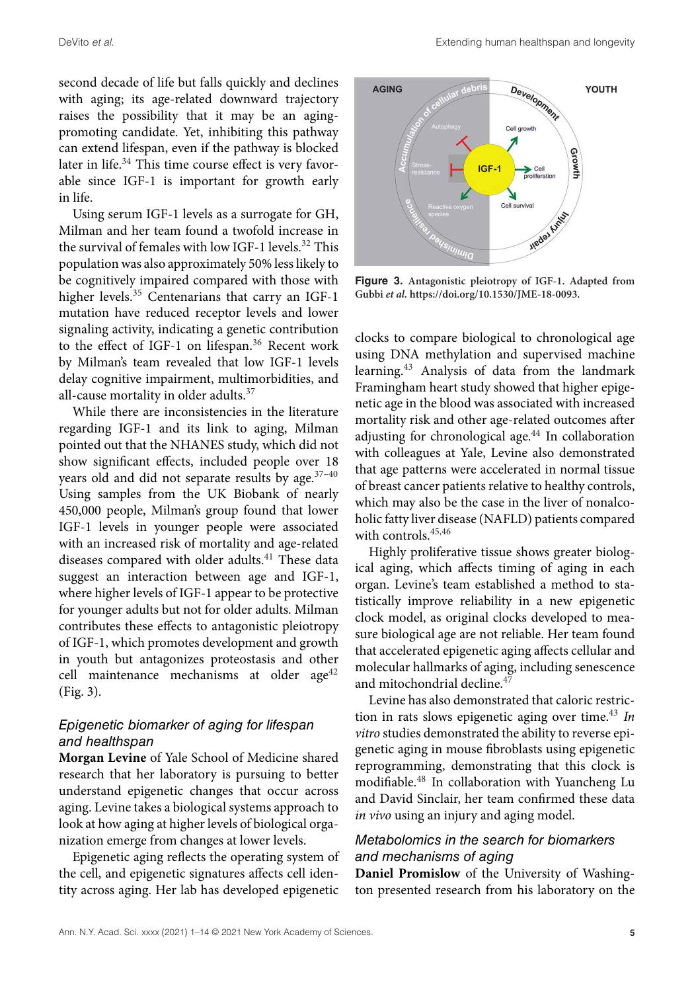second decade of life but falls quickly and declines with aging; its age-related downward trajectory raises the possibility that it may be an agingpromoting candidate. Yet, inhibiting this pathway can extend lifespan, even if the pathway is blocked later in life.<sup>34</sup> This time course effect is very favorable since IGF-1 is important for growth early in life.

Using serum IGF-1 levels as a surrogate for GH, Milman and her team found a twofold increase in the survival of females with low  $IGF-1$  levels.<sup>32</sup> This population was also approximately 50% less likely to be cognitively impaired compared with those with higher levels.<sup>35</sup> Centenarians that carry an IGF-1 mutation have reduced receptor levels and lower signaling activity, indicating a genetic contribution to the effect of IGF-1 on lifespan.<sup>36</sup> Recent work by Milman's team revealed that low IGF-1 levels delay cognitive impairment, multimorbidities, and all-cause mortality in older adults.<sup>37</sup>

While there are inconsistencies in the literature regarding IGF-1 and its link to aging, Milman pointed out that the NHANES study, which did not show significant effects, included people over 18 years old and did not separate results by age.<sup>37-40</sup> Using samples from the UK Biobank of nearly 450,000 people, Milman's group found that lower IGF-1 levels in younger people were associated with an increased risk of mortality and age-related diseases compared with older adults.<sup>41</sup> These data suggest an interaction between age and IGF-1, where higher levels of IGF-1 appear to be protective for younger adults but not for older adults. Milman contributes these effects to antagonistic pleiotropy of IGF-1, which promotes development and growth in youth but antagonizes proteostasis and other cell maintenance mechanisms at older  $age^{42}$ (Fig. 3).

### Epigenetic biomarker of aging for lifespan and healthspan

**Morgan Levine** of Yale School of Medicine shared research that her laboratory is pursuing to better understand epigenetic changes that occur across aging. Levine takes a biological systems approach to look at how aging at higher levels of biological organization emerge from changes at lower levels.

Epigenetic aging reflects the operating system of the cell, and epigenetic signatures affects cell identity across aging. Her lab has developed epigenetic



**Figure 3. Antagonistic pleiotropy of IGF-1. Adapted from Gubbi et al. https://doi.org/10.1530/JME-18-0093.**

clocks to compare biological to chronological age using DNA methylation and supervised machine learning.<sup>43</sup> Analysis of data from the landmark Framingham heart study showed that higher epigenetic age in the blood was associated with increased mortality risk and other age-related outcomes after adjusting for chronological age.<sup>44</sup> In collaboration with colleagues at Yale, Levine also demonstrated that age patterns were accelerated in normal tissue of breast cancer patients relative to healthy controls, which may also be the case in the liver of nonalcoholic fatty liver disease (NAFLD) patients compared with controls.<sup>45,46</sup>

Highly proliferative tissue shows greater biological aging, which affects timing of aging in each organ. Levine's team established a method to statistically improve reliability in a new epigenetic clock model, as original clocks developed to measure biological age are not reliable. Her team found that accelerated epigenetic aging affects cellular and molecular hallmarks of aging, including senescence and mitochondrial decline.<sup>47</sup>

Levine has also demonstrated that caloric restriction in rats slows epigenetic aging over time.<sup>43</sup> In vitro studies demonstrated the ability to reverse epigenetic aging in mouse fibroblasts using epigenetic reprogramming, demonstrating that this clock is modifiable.<sup>48</sup> In collaboration with Yuancheng Lu and David Sinclair, her team confirmed these data in vivo using an injury and aging model.

## Metabolomics in the search for biomarkers and mechanisms of aging

**Daniel Promislow** of the University of Washington presented research from his laboratory on the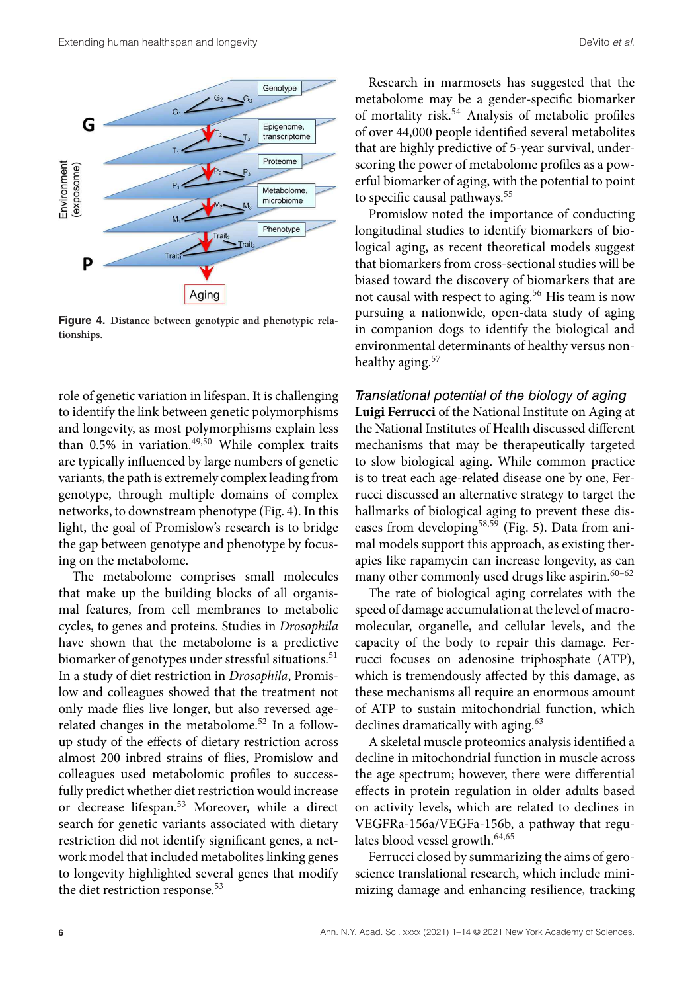

**Figure 4. Distance between genotypic and phenotypic relationships.**

role of genetic variation in lifespan. It is challenging to identify the link between genetic polymorphisms and longevity, as most polymorphisms explain less than  $0.5\%$  in variation.<sup>49,50</sup> While complex traits are typically influenced by large numbers of genetic variants, the path is extremely complex leading from genotype, through multiple domains of complex networks, to downstream phenotype (Fig. 4). In this light, the goal of Promislow's research is to bridge the gap between genotype and phenotype by focusing on the metabolome.

The metabolome comprises small molecules that make up the building blocks of all organismal features, from cell membranes to metabolic cycles, to genes and proteins. Studies in Drosophila have shown that the metabolome is a predictive biomarker of genotypes under stressful situations.<sup>51</sup> In a study of diet restriction in Drosophila, Promislow and colleagues showed that the treatment not only made flies live longer, but also reversed agerelated changes in the metabolome.<sup>52</sup> In a followup study of the effects of dietary restriction across almost 200 inbred strains of flies, Promislow and colleagues used metabolomic profiles to successfully predict whether diet restriction would increase or decrease lifespan.<sup>53</sup> Moreover, while a direct search for genetic variants associated with dietary restriction did not identify significant genes, a network model that included metabolites linking genes to longevity highlighted several genes that modify the diet restriction response.<sup>53</sup>

Research in marmosets has suggested that the metabolome may be a gender-specific biomarker of mortality risk.<sup>54</sup> Analysis of metabolic profiles of over 44,000 people identified several metabolites that are highly predictive of 5-year survival, underscoring the power of metabolome profiles as a powerful biomarker of aging, with the potential to point to specific causal pathways.<sup>55</sup>

Promislow noted the importance of conducting longitudinal studies to identify biomarkers of biological aging, as recent theoretical models suggest that biomarkers from cross-sectional studies will be biased toward the discovery of biomarkers that are not causal with respect to aging.<sup>56</sup> His team is now pursuing a nationwide, open-data study of aging in companion dogs to identify the biological and environmental determinants of healthy versus nonhealthy aging.<sup>57</sup>

Translational potential of the biology of aging **Luigi Ferrucci** of the National Institute on Aging at the National Institutes of Health discussed different mechanisms that may be therapeutically targeted to slow biological aging. While common practice is to treat each age-related disease one by one, Ferrucci discussed an alternative strategy to target the hallmarks of biological aging to prevent these diseases from developing<sup>58,59</sup> (Fig. 5). Data from animal models support this approach, as existing therapies like rapamycin can increase longevity, as can many other commonly used drugs like aspirin. $60-62$ 

The rate of biological aging correlates with the speed of damage accumulation at the level of macromolecular, organelle, and cellular levels, and the capacity of the body to repair this damage. Ferrucci focuses on adenosine triphosphate (ATP), which is tremendously affected by this damage, as these mechanisms all require an enormous amount of ATP to sustain mitochondrial function, which declines dramatically with aging.<sup>63</sup>

A skeletal muscle proteomics analysis identified a decline in mitochondrial function in muscle across the age spectrum; however, there were differential effects in protein regulation in older adults based on activity levels, which are related to declines in VEGFRa-156a/VEGFa-156b, a pathway that regulates blood vessel growth.<sup>64,65</sup>

Ferrucci closed by summarizing the aims of geroscience translational research, which include minimizing damage and enhancing resilience, tracking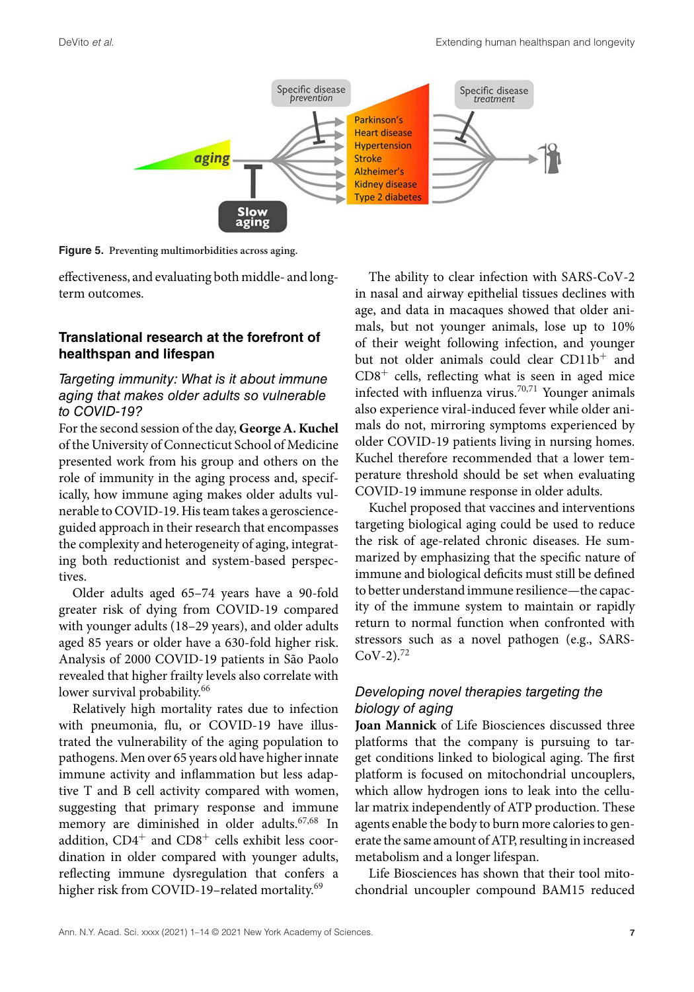

**Figure 5. Preventing multimorbidities across aging.**

effectiveness, and evaluating both middle- and longterm outcomes.

# **Translational research at the forefront of healthspan and lifespan**

# Targeting immunity: What is it about immune aging that makes older adults so vulnerable to COVID-19?

For the second session of the day, **George A. Kuchel** of the University of Connecticut School of Medicine presented work from his group and others on the role of immunity in the aging process and, specifically, how immune aging makes older adults vulnerable to COVID-19. His team takes a geroscienceguided approach in their research that encompasses the complexity and heterogeneity of aging, integrating both reductionist and system-based perspectives.

Older adults aged 65–74 years have a 90-fold greater risk of dying from COVID-19 compared with younger adults (18–29 years), and older adults aged 85 years or older have a 630-fold higher risk. Analysis of 2000 COVID-19 patients in São Paolo revealed that higher frailty levels also correlate with lower survival probability.<sup>66</sup>

Relatively high mortality rates due to infection with pneumonia, flu, or COVID-19 have illustrated the vulnerability of the aging population to pathogens. Men over 65 years old have higher innate immune activity and inflammation but less adaptive T and B cell activity compared with women, suggesting that primary response and immune memory are diminished in older adults.67,68 In addition, CD4<sup>+</sup> and CD8<sup>+</sup> cells exhibit less coordination in older compared with younger adults, reflecting immune dysregulation that confers a higher risk from COVID-19-related mortality.<sup>69</sup>

The ability to clear infection with SARS-CoV-2 in nasal and airway epithelial tissues declines with age, and data in macaques showed that older animals, but not younger animals, lose up to 10% of their weight following infection, and younger but not older animals could clear CD11b<sup>+</sup> and  $CD8<sup>+</sup>$  cells, reflecting what is seen in aged mice infected with influenza virus.70,71 Younger animals also experience viral-induced fever while older animals do not, mirroring symptoms experienced by older COVID-19 patients living in nursing homes. Kuchel therefore recommended that a lower temperature threshold should be set when evaluating COVID-19 immune response in older adults.

Kuchel proposed that vaccines and interventions targeting biological aging could be used to reduce the risk of age-related chronic diseases. He summarized by emphasizing that the specific nature of immune and biological deficits must still be defined to better understand immune resilience—the capacity of the immune system to maintain or rapidly return to normal function when confronted with stressors such as a novel pathogen (e.g., SARS- $CoV-2$ ).<sup>72</sup>

# Developing novel therapies targeting the biology of aging

**Joan Mannick** of Life Biosciences discussed three platforms that the company is pursuing to target conditions linked to biological aging. The first platform is focused on mitochondrial uncouplers, which allow hydrogen ions to leak into the cellular matrix independently of ATP production. These agents enable the body to burn more calories to generate the same amount of ATP, resulting in increased metabolism and a longer lifespan.

Life Biosciences has shown that their tool mitochondrial uncoupler compound BAM15 reduced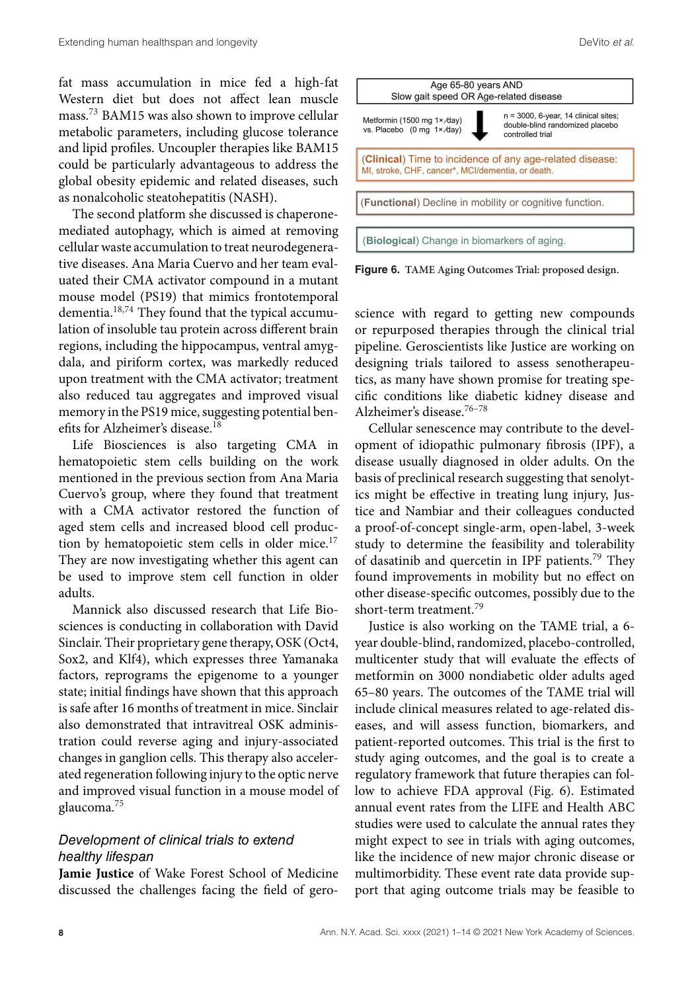fat mass accumulation in mice fed a high-fat Western diet but does not affect lean muscle mass.<sup>73</sup> BAM15 was also shown to improve cellular metabolic parameters, including glucose tolerance and lipid profiles. Uncoupler therapies like BAM15 could be particularly advantageous to address the global obesity epidemic and related diseases, such as nonalcoholic steatohepatitis (NASH).

The second platform she discussed is chaperonemediated autophagy, which is aimed at removing cellular waste accumulation to treat neurodegenerative diseases. Ana Maria Cuervo and her team evaluated their CMA activator compound in a mutant mouse model (PS19) that mimics frontotemporal dementia.18,74 They found that the typical accumulation of insoluble tau protein across different brain regions, including the hippocampus, ventral amygdala, and piriform cortex, was markedly reduced upon treatment with the CMA activator; treatment also reduced tau aggregates and improved visual memory in the PS19 mice, suggesting potential benefits for Alzheimer's disease.<sup>18</sup>

Life Biosciences is also targeting CMA in hematopoietic stem cells building on the work mentioned in the previous section from Ana Maria Cuervo's group, where they found that treatment with a CMA activator restored the function of aged stem cells and increased blood cell production by hematopoietic stem cells in older mice. $17$ They are now investigating whether this agent can be used to improve stem cell function in older adults.

Mannick also discussed research that Life Biosciences is conducting in collaboration with David Sinclair. Their proprietary gene therapy, OSK (Oct4, Sox2, and Klf4), which expresses three Yamanaka factors, reprograms the epigenome to a younger state; initial findings have shown that this approach is safe after 16 months of treatment in mice. Sinclair also demonstrated that intravitreal OSK administration could reverse aging and injury-associated changes in ganglion cells. This therapy also accelerated regeneration following injury to the optic nerve and improved visual function in a mouse model of glaucoma.<sup>75</sup>

# Development of clinical trials to extend healthy lifespan

**Jamie Justice** of Wake Forest School of Medicine discussed the challenges facing the field of gero-





(Biological) Change in biomarkers of aging.

science with regard to getting new compounds or repurposed therapies through the clinical trial pipeline. Geroscientists like Justice are working on designing trials tailored to assess senotherapeutics, as many have shown promise for treating specific conditions like diabetic kidney disease and Alzheimer's disease.76–78

Cellular senescence may contribute to the development of idiopathic pulmonary fibrosis (IPF), a disease usually diagnosed in older adults. On the basis of preclinical research suggesting that senolytics might be effective in treating lung injury, Justice and Nambiar and their colleagues conducted a proof-of-concept single-arm, open-label, 3-week study to determine the feasibility and tolerability of dasatinib and quercetin in IPF patients.<sup>79</sup> They found improvements in mobility but no effect on other disease-specific outcomes, possibly due to the short-term treatment.<sup>79</sup>

Justice is also working on the TAME trial, a 6 year double-blind, randomized, placebo-controlled, multicenter study that will evaluate the effects of metformin on 3000 nondiabetic older adults aged 65–80 years. The outcomes of the TAME trial will include clinical measures related to age-related diseases, and will assess function, biomarkers, and patient-reported outcomes. This trial is the first to study aging outcomes, and the goal is to create a regulatory framework that future therapies can follow to achieve FDA approval (Fig. 6). Estimated annual event rates from the LIFE and Health ABC studies were used to calculate the annual rates they might expect to see in trials with aging outcomes, like the incidence of new major chronic disease or multimorbidity. These event rate data provide support that aging outcome trials may be feasible to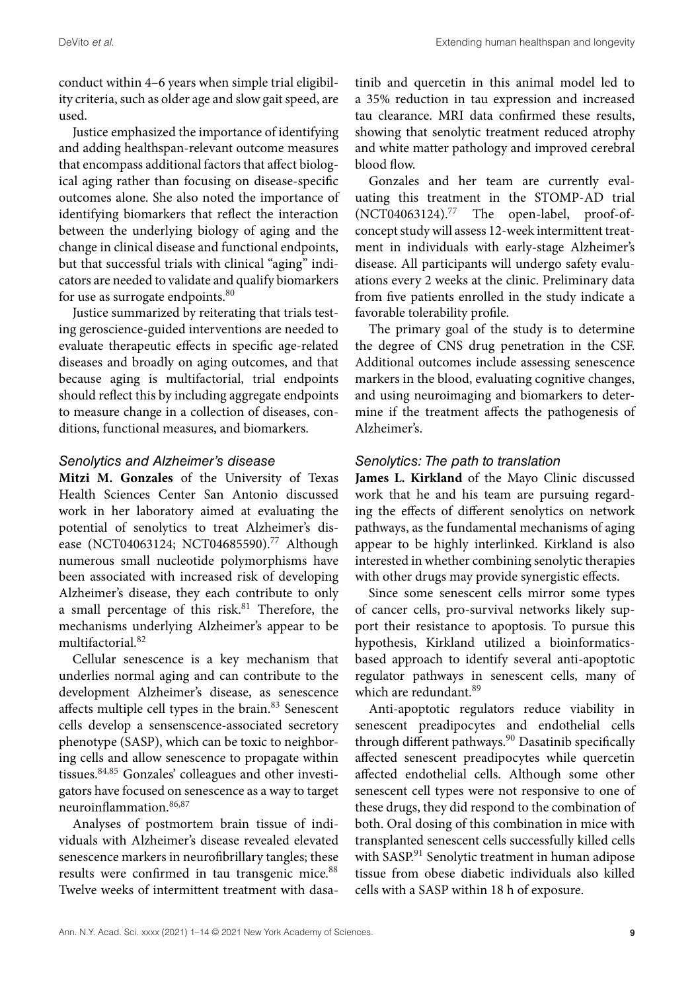conduct within 4–6 years when simple trial eligibility criteria, such as older age and slow gait speed, are used.

Justice emphasized the importance of identifying and adding healthspan-relevant outcome measures that encompass additional factors that affect biological aging rather than focusing on disease-specific outcomes alone. She also noted the importance of identifying biomarkers that reflect the interaction between the underlying biology of aging and the change in clinical disease and functional endpoints, but that successful trials with clinical "aging" indicators are needed to validate and qualify biomarkers for use as surrogate endpoints.<sup>80</sup>

Justice summarized by reiterating that trials testing geroscience-guided interventions are needed to evaluate therapeutic effects in specific age-related diseases and broadly on aging outcomes, and that because aging is multifactorial, trial endpoints should reflect this by including aggregate endpoints to measure change in a collection of diseases, conditions, functional measures, and biomarkers.

## Senolytics and Alzheimer's disease

**Mitzi M. Gonzales** of the University of Texas Health Sciences Center San Antonio discussed work in her laboratory aimed at evaluating the potential of senolytics to treat Alzheimer's disease (NCT04063124; NCT04685590).<sup>77</sup> Although numerous small nucleotide polymorphisms have been associated with increased risk of developing Alzheimer's disease, they each contribute to only a small percentage of this risk. $81$  Therefore, the mechanisms underlying Alzheimer's appear to be multifactorial.<sup>82</sup>

Cellular senescence is a key mechanism that underlies normal aging and can contribute to the development Alzheimer's disease, as senescence affects multiple cell types in the brain.<sup>83</sup> Senescent cells develop a sensenscence-associated secretory phenotype (SASP), which can be toxic to neighboring cells and allow senescence to propagate within tissues. 84,85 Gonzales' colleagues and other investigators have focused on senescence as a way to target neuroinflammation.86,87

Analyses of postmortem brain tissue of individuals with Alzheimer's disease revealed elevated senescence markers in neurofibrillary tangles; these results were confirmed in tau transgenic mice.<sup>88</sup> Twelve weeks of intermittent treatment with dasa-

tinib and quercetin in this animal model led to a 35% reduction in tau expression and increased tau clearance. MRI data confirmed these results, showing that senolytic treatment reduced atrophy and white matter pathology and improved cerebral blood flow.

Gonzales and her team are currently evaluating this treatment in the STOMP-AD trial (NCT04063124).<sup>77</sup> The open-label, proof-ofconcept study will assess 12-week intermittent treatment in individuals with early-stage Alzheimer's disease. All participants will undergo safety evaluations every 2 weeks at the clinic. Preliminary data from five patients enrolled in the study indicate a favorable tolerability profile.

The primary goal of the study is to determine the degree of CNS drug penetration in the CSF. Additional outcomes include assessing senescence markers in the blood, evaluating cognitive changes, and using neuroimaging and biomarkers to determine if the treatment affects the pathogenesis of Alzheimer's.

## Senolytics: The path to translation

**James L. Kirkland** of the Mayo Clinic discussed work that he and his team are pursuing regarding the effects of different senolytics on network pathways, as the fundamental mechanisms of aging appear to be highly interlinked. Kirkland is also interested in whether combining senolytic therapies with other drugs may provide synergistic effects.

Since some senescent cells mirror some types of cancer cells, pro-survival networks likely support their resistance to apoptosis. To pursue this hypothesis, Kirkland utilized a bioinformaticsbased approach to identify several anti-apoptotic regulator pathways in senescent cells, many of which are redundant.<sup>89</sup>

Anti-apoptotic regulators reduce viability in senescent preadipocytes and endothelial cells through different pathways.<sup>90</sup> Dasatinib specifically affected senescent preadipocytes while quercetin affected endothelial cells. Although some other senescent cell types were not responsive to one of these drugs, they did respond to the combination of both. Oral dosing of this combination in mice with transplanted senescent cells successfully killed cells with SASP.<sup>91</sup> Senolytic treatment in human adipose tissue from obese diabetic individuals also killed cells with a SASP within 18 h of exposure.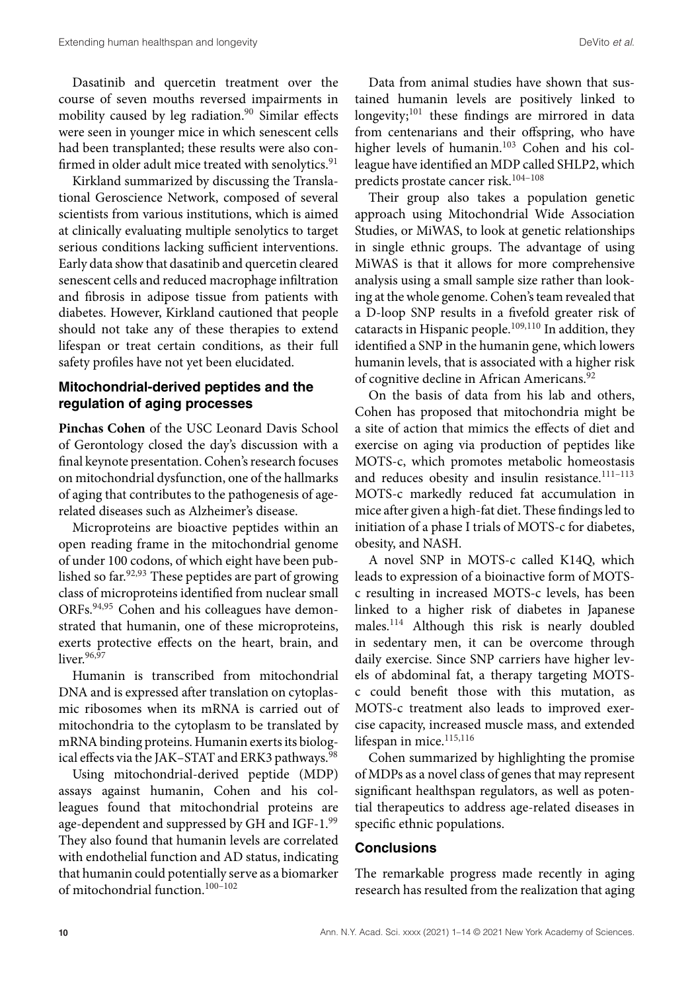Dasatinib and quercetin treatment over the course of seven mouths reversed impairments in mobility caused by leg radiation.<sup>90</sup> Similar effects were seen in younger mice in which senescent cells had been transplanted; these results were also confirmed in older adult mice treated with senolytics.<sup>91</sup>

Kirkland summarized by discussing the Translational Geroscience Network, composed of several scientists from various institutions, which is aimed at clinically evaluating multiple senolytics to target serious conditions lacking sufficient interventions. Early data show that dasatinib and quercetin cleared senescent cells and reduced macrophage infiltration and fibrosis in adipose tissue from patients with diabetes. However, Kirkland cautioned that people should not take any of these therapies to extend lifespan or treat certain conditions, as their full safety profiles have not yet been elucidated.

# **Mitochondrial-derived peptides and the regulation of aging processes**

**Pinchas Cohen** of the USC Leonard Davis School of Gerontology closed the day's discussion with a final keynote presentation. Cohen's research focuses on mitochondrial dysfunction, one of the hallmarks of aging that contributes to the pathogenesis of agerelated diseases such as Alzheimer's disease.

Microproteins are bioactive peptides within an open reading frame in the mitochondrial genome of under 100 codons, of which eight have been published so far.  $92,93$  These peptides are part of growing class of microproteins identified from nuclear small ORFs.<sup>94,95</sup> Cohen and his colleagues have demonstrated that humanin, one of these microproteins, exerts protective effects on the heart, brain, and liver $96,97$ 

Humanin is transcribed from mitochondrial DNA and is expressed after translation on cytoplasmic ribosomes when its mRNA is carried out of mitochondria to the cytoplasm to be translated by mRNA binding proteins. Humanin exerts its biological effects via the JAK-STAT and ERK3 pathways.<sup>98</sup>

Using mitochondrial-derived peptide (MDP) assays against humanin, Cohen and his colleagues found that mitochondrial proteins are age-dependent and suppressed by GH and IGF-1.99 They also found that humanin levels are correlated with endothelial function and AD status, indicating that humanin could potentially serve as a biomarker of mitochondrial function.100–102

Data from animal studies have shown that sustained humanin levels are positively linked to longevity;<sup>101</sup> these findings are mirrored in data from centenarians and their offspring, who have higher levels of humanin.<sup>103</sup> Cohen and his colleague have identified an MDP called SHLP2, which predicts prostate cancer risk.104–108

Their group also takes a population genetic approach using Mitochondrial Wide Association Studies, or MiWAS, to look at genetic relationships in single ethnic groups. The advantage of using MiWAS is that it allows for more comprehensive analysis using a small sample size rather than looking at the whole genome. Cohen's team revealed that a D-loop SNP results in a fivefold greater risk of cataracts in Hispanic people.<sup>109,110</sup> In addition, they identified a SNP in the humanin gene, which lowers humanin levels, that is associated with a higher risk of cognitive decline in African Americans.<sup>92</sup>

On the basis of data from his lab and others, Cohen has proposed that mitochondria might be a site of action that mimics the effects of diet and exercise on aging via production of peptides like MOTS-c, which promotes metabolic homeostasis and reduces obesity and insulin resistance.<sup>111-113</sup> MOTS-c markedly reduced fat accumulation in mice after given a high-fat diet. These findings led to initiation of a phase I trials of MOTS-c for diabetes, obesity, and NASH.

A novel SNP in MOTS-c called K14Q, which leads to expression of a bioinactive form of MOTSc resulting in increased MOTS-c levels, has been linked to a higher risk of diabetes in Japanese males.<sup>114</sup> Although this risk is nearly doubled in sedentary men, it can be overcome through daily exercise. Since SNP carriers have higher levels of abdominal fat, a therapy targeting MOTSc could benefit those with this mutation, as MOTS-c treatment also leads to improved exercise capacity, increased muscle mass, and extended lifespan in mice.<sup>115,116</sup>

Cohen summarized by highlighting the promise of MDPs as a novel class of genes that may represent significant healthspan regulators, as well as potential therapeutics to address age-related diseases in specific ethnic populations.

#### **Conclusions**

The remarkable progress made recently in aging research has resulted from the realization that aging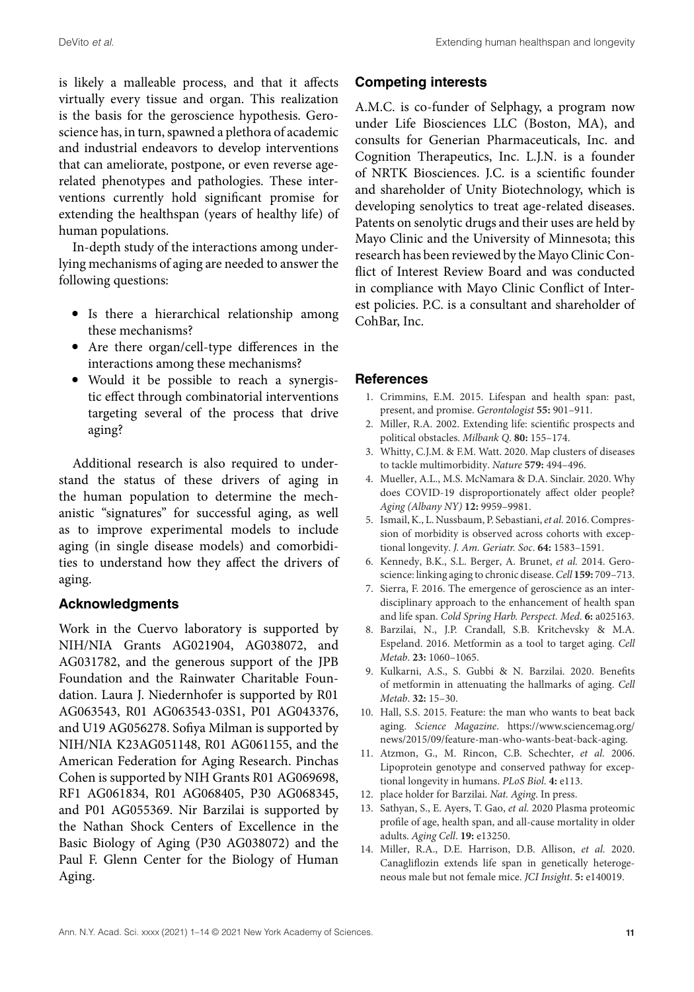is likely a malleable process, and that it affects virtually every tissue and organ. This realization is the basis for the geroscience hypothesis. Geroscience has, in turn, spawned a plethora of academic and industrial endeavors to develop interventions that can ameliorate, postpone, or even reverse agerelated phenotypes and pathologies. These interventions currently hold significant promise for extending the healthspan (years of healthy life) of human populations.

In-depth study of the interactions among underlying mechanisms of aging are needed to answer the following questions:

- Is there a hierarchical relationship among these mechanisms?
- Are there organ/cell-type differences in the interactions among these mechanisms?
- Would it be possible to reach a synergistic effect through combinatorial interventions targeting several of the process that drive aging?

Additional research is also required to understand the status of these drivers of aging in the human population to determine the mechanistic "signatures" for successful aging, as well as to improve experimental models to include aging (in single disease models) and comorbidities to understand how they affect the drivers of aging.

## **Acknowledgments**

Work in the Cuervo laboratory is supported by NIH/NIA Grants AG021904, AG038072, and AG031782, and the generous support of the JPB Foundation and the Rainwater Charitable Foundation. Laura J. Niedernhofer is supported by R01 AG063543, R01 AG063543-03S1, P01 AG043376, and U19 AG056278. Sofiya Milman is supported by NIH/NIA K23AG051148, R01 AG061155, and the American Federation for Aging Research. Pinchas Cohen is supported by NIH Grants R01 AG069698, RF1 AG061834, R01 AG068405, P30 AG068345, and P01 AG055369. Nir Barzilai is supported by the Nathan Shock Centers of Excellence in the Basic Biology of Aging (P30 AG038072) and the Paul F. Glenn Center for the Biology of Human Aging.

# **Competing interests**

A.M.C. is co-funder of Selphagy, a program now under Life Biosciences LLC (Boston, MA), and consults for Generian Pharmaceuticals, Inc. and Cognition Therapeutics, Inc. L.J.N. is a founder of NRTK Biosciences. J.C. is a scientific founder and shareholder of Unity Biotechnology, which is developing senolytics to treat age-related diseases. Patents on senolytic drugs and their uses are held by Mayo Clinic and the University of Minnesota; this research has been reviewed by the Mayo Clinic Conflict of Interest Review Board and was conducted in compliance with Mayo Clinic Conflict of Interest policies. P.C. is a consultant and shareholder of CohBar, Inc.

## **References**

- 1. Crimmins, E.M. 2015. Lifespan and health span: past, present, and promise. Gerontologist **55:** 901–911.
- 2. Miller, R.A. 2002. Extending life: scientific prospects and political obstacles. Milbank Q. **80:** 155–174.
- 3. Whitty, C.J.M. & F.M. Watt. 2020. Map clusters of diseases to tackle multimorbidity. Nature **579:** 494–496.
- 4. Mueller, A.L., M.S. McNamara & D.A. Sinclair. 2020. Why does COVID-19 disproportionately affect older people? Aging (Albany NY) **12:** 9959–9981.
- 5. Ismail, K., L. Nussbaum, P. Sebastiani, et al. 2016. Compression of morbidity is observed across cohorts with exceptional longevity. J. Am. Geriatr. Soc. **64:** 1583–1591.
- 6. Kennedy, B.K., S.L. Berger, A. Brunet, et al. 2014. Geroscience: linking aging to chronic disease.Cell **159:** 709–713.
- 7. Sierra, F. 2016. The emergence of geroscience as an interdisciplinary approach to the enhancement of health span and life span. Cold Spring Harb. Perspect. Med. **6:** a025163.
- 8. Barzilai, N., J.P. Crandall, S.B. Kritchevsky & M.A. Espeland. 2016. Metformin as a tool to target aging. Cell Metab. **23:** 1060–1065.
- 9. Kulkarni, A.S., S. Gubbi & N. Barzilai. 2020. Benefits of metformin in attenuating the hallmarks of aging. Cell Metab. **32:** 15–30.
- 10. Hall, S.S. 2015. Feature: the man who wants to beat back aging. Science Magazine. https://www.sciencemag.org/ news/2015/09/feature-man-who-wants-beat-back-aging.
- 11. Atzmon, G., M. Rincon, C.B. Schechter, et al. 2006. Lipoprotein genotype and conserved pathway for exceptional longevity in humans. PLoS Biol. **4:** e113.
- 12. place holder for Barzilai. Nat. Aging. In press.
- 13. Sathyan, S., E. Ayers, T. Gao, et al. 2020 Plasma proteomic profile of age, health span, and all-cause mortality in older adults. Aging Cell. **19:** e13250.
- 14. Miller, R.A., D.E. Harrison, D.B. Allison, et al. 2020. Canagliflozin extends life span in genetically heterogeneous male but not female mice. JCI Insight. **5:** e140019.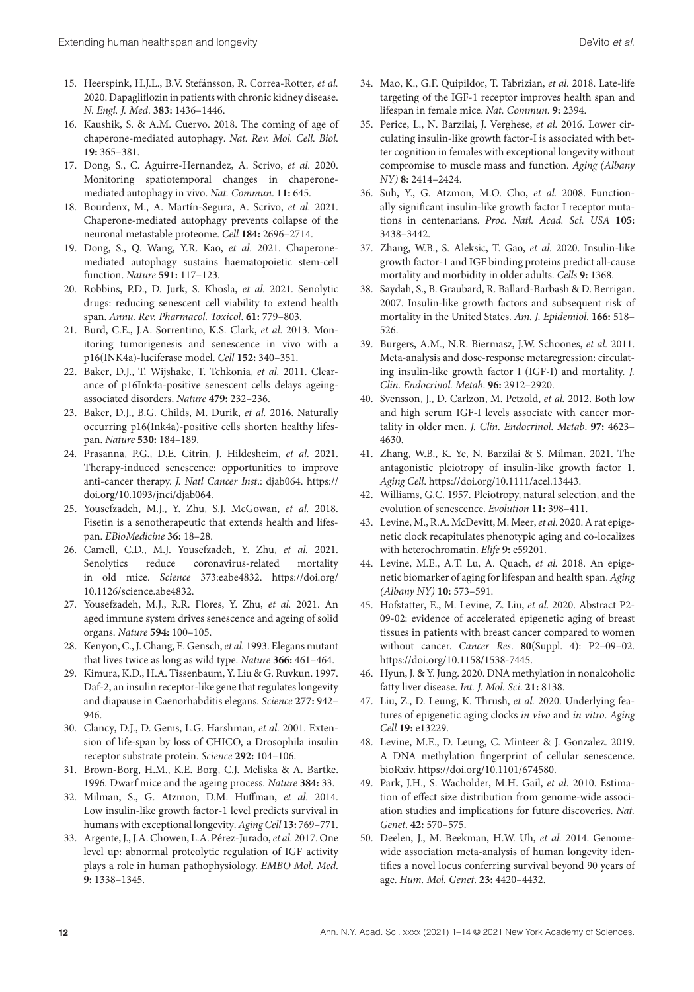- 15. Heerspink, H.J.L., B.V. Stefánsson, R. Correa-Rotter, et al. 2020. Dapagliflozin in patients with chronic kidney disease. N. Engl. J. Med. **383:** 1436–1446.
- 16. Kaushik, S. & A.M. Cuervo. 2018. The coming of age of chaperone-mediated autophagy. Nat. Rev. Mol. Cell. Biol. **19:** 365–381.
- 17. Dong, S., C. Aguirre-Hernandez, A. Scrivo, et al. 2020. Monitoring spatiotemporal changes in chaperonemediated autophagy in vivo. Nat. Commun. **11:** 645.
- 18. Bourdenx, M., A. Martín-Segura, A. Scrivo, et al. 2021. Chaperone-mediated autophagy prevents collapse of the neuronal metastable proteome. Cell **184:** 2696–2714.
- 19. Dong, S., Q. Wang, Y.R. Kao, et al. 2021. Chaperonemediated autophagy sustains haematopoietic stem-cell function. Nature **591:** 117–123.
- 20. Robbins, P.D., D. Jurk, S. Khosla, et al. 2021. Senolytic drugs: reducing senescent cell viability to extend health span. Annu. Rev. Pharmacol. Toxicol. **61:** 779–803.
- 21. Burd, C.E., J.A. Sorrentino, K.S. Clark, et al. 2013. Monitoring tumorigenesis and senescence in vivo with a p16(INK4a)-luciferase model. Cell **152:** 340–351.
- 22. Baker, D.J., T. Wijshake, T. Tchkonia, et al. 2011. Clearance of p16Ink4a-positive senescent cells delays ageingassociated disorders. Nature **479:** 232–236.
- 23. Baker, D.J., B.G. Childs, M. Durik, et al. 2016. Naturally occurring p16(Ink4a)-positive cells shorten healthy lifespan. Nature **530:** 184–189.
- 24. Prasanna, P.G., D.E. Citrin, J. Hildesheim, et al. 2021. Therapy-induced senescence: opportunities to improve anti-cancer therapy. J. Natl Cancer Inst.: djab064. https:// doi.org/10.1093/jnci/djab064.
- 25. Yousefzadeh, M.J., Y. Zhu, S.J. McGowan, et al. 2018. Fisetin is a senotherapeutic that extends health and lifespan. EBioMedicine **36:** 18–28.
- 26. Camell, C.D., M.J. Yousefzadeh, Y. Zhu, et al. 2021. Senolytics reduce coronavirus-related mortality in old mice. Science 373:eabe4832. https://doi.org/ 10.1126/science.abe4832.
- 27. Yousefzadeh, M.J., R.R. Flores, Y. Zhu, et al. 2021. An aged immune system drives senescence and ageing of solid organs. Nature **594:** 100–105.
- 28. Kenyon, C., J. Chang, E. Gensch, et al. 1993. Elegans mutant that lives twice as long as wild type. Nature **366:** 461–464.
- 29. Kimura, K.D., H.A. Tissenbaum, Y. Liu & G. Ruvkun. 1997. Daf-2, an insulin receptor-like gene that regulates longevity and diapause in Caenorhabditis elegans. Science **277:** 942– 946.
- 30. Clancy, D.J., D. Gems, L.G. Harshman, et al. 2001. Extension of life-span by loss of CHICO, a Drosophila insulin receptor substrate protein. Science **292:** 104–106.
- 31. Brown-Borg, H.M., K.E. Borg, C.J. Meliska & A. Bartke. 1996. Dwarf mice and the ageing process. Nature **384:** 33.
- 32. Milman, S., G. Atzmon, D.M. Huffman, et al. 2014. Low insulin-like growth factor-1 level predicts survival in humans with exceptional longevity.Aging Cell **13:** 769–771.
- 33. Argente, J., J.A. Chowen, L.A. Pérez-Jurado, et al. 2017. One level up: abnormal proteolytic regulation of IGF activity plays a role in human pathophysiology. EMBO Mol. Med. **9:** 1338–1345.
- 34. Mao, K., G.F. Quipildor, T. Tabrizian, et al. 2018. Late-life targeting of the IGF-1 receptor improves health span and lifespan in female mice. Nat. Commun. **9:** 2394.
- 35. Perice, L., N. Barzilai, J. Verghese, et al. 2016. Lower circulating insulin-like growth factor-I is associated with better cognition in females with exceptional longevity without compromise to muscle mass and function. Aging (Albany NY) **8:** 2414–2424.
- 36. Suh, Y., G. Atzmon, M.O. Cho, et al. 2008. Functionally significant insulin-like growth factor I receptor mutations in centenarians. Proc. Natl. Acad. Sci. USA **105:** 3438–3442.
- 37. Zhang, W.B., S. Aleksic, T. Gao, et al. 2020. Insulin-like growth factor-1 and IGF binding proteins predict all-cause mortality and morbidity in older adults. Cells **9:** 1368.
- 38. Saydah, S., B. Graubard, R. Ballard-Barbash & D. Berrigan. 2007. Insulin-like growth factors and subsequent risk of mortality in the United States. Am. J. Epidemiol. **166:** 518– 526.
- 39. Burgers, A.M., N.R. Biermasz, J.W. Schoones, et al. 2011. Meta-analysis and dose-response metaregression: circulating insulin-like growth factor I (IGF-I) and mortality. J. Clin. Endocrinol. Metab. **96:** 2912–2920.
- 40. Svensson, J., D. Carlzon, M. Petzold, et al. 2012. Both low and high serum IGF-I levels associate with cancer mortality in older men. J. Clin. Endocrinol. Metab. **97:** 4623– 4630.
- 41. Zhang, W.B., K. Ye, N. Barzilai & S. Milman. 2021. The antagonistic pleiotropy of insulin-like growth factor 1. Aging Cell. https://doi.org/10.1111/acel.13443.
- 42. Williams, G.C. 1957. Pleiotropy, natural selection, and the evolution of senescence. Evolution **11:** 398–411.
- 43. Levine, M., R.A. McDevitt, M. Meer, et al. 2020. A rat epigenetic clock recapitulates phenotypic aging and co-localizes with heterochromatin. Elife **9:** e59201.
- 44. Levine, M.E., A.T. Lu, A. Quach, et al. 2018. An epigenetic biomarker of aging for lifespan and health span. Aging (Albany NY) **10:** 573–591.
- 45. Hofstatter, E., M. Levine, Z. Liu, et al. 2020. Abstract P2- 09-02: evidence of accelerated epigenetic aging of breast tissues in patients with breast cancer compared to women without cancer. Cancer Res. **80**(Suppl. 4): P2–09–02. https://doi.org/10.1158/1538-7445.
- 46. Hyun, J. & Y. Jung. 2020. DNA methylation in nonalcoholic fatty liver disease. Int. J. Mol. Sci. **21:** 8138.
- 47. Liu, Z., D. Leung, K. Thrush, et al. 2020. Underlying features of epigenetic aging clocks in vivo and in vitro. Aging Cell **19:** e13229.
- 48. Levine, M.E., D. Leung, C. Minteer & J. Gonzalez. 2019. A DNA methylation fingerprint of cellular senescence. bioRxiv. https://doi.org/10.1101/674580.
- 49. Park, J.H., S. Wacholder, M.H. Gail, et al. 2010. Estimation of effect size distribution from genome-wide association studies and implications for future discoveries. Nat. Genet. **42:** 570–575.
- 50. Deelen, J., M. Beekman, H.W. Uh, et al. 2014. Genomewide association meta-analysis of human longevity identifies a novel locus conferring survival beyond 90 years of age. Hum. Mol. Genet. **23:** 4420–4432.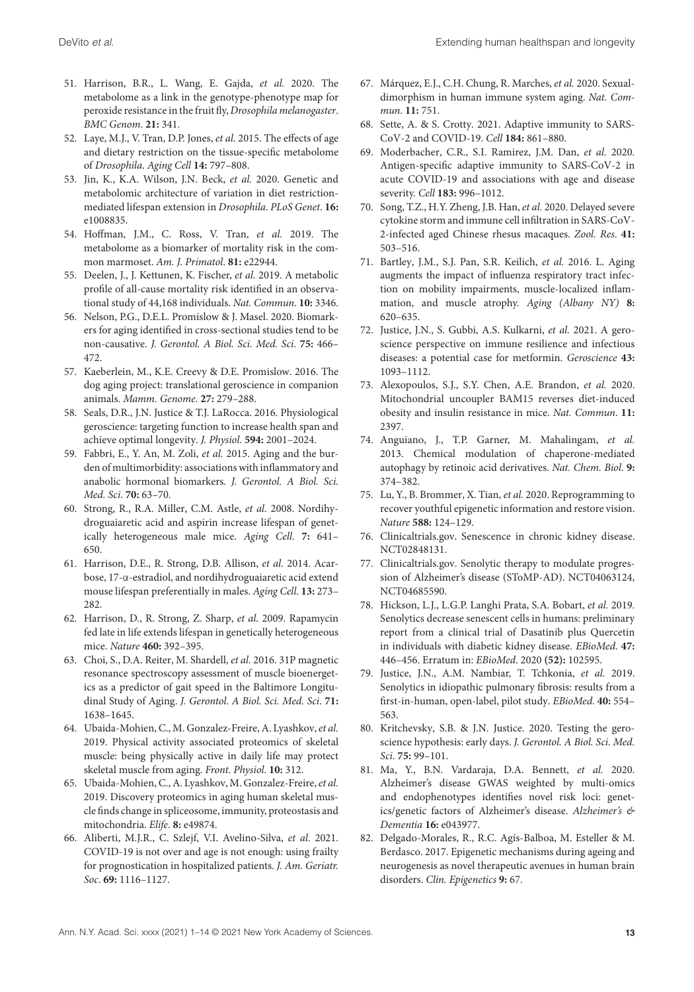- 51. Harrison, B.R., L. Wang, E. Gajda, et al. 2020. The metabolome as a link in the genotype-phenotype map for peroxide resistance in the fruit fly, Drosophila melanogaster. BMC Genom. **21:** 341.
- 52. Laye, M.J., V. Tran, D.P. Jones, et al. 2015. The effects of age and dietary restriction on the tissue-specific metabolome of Drosophila. Aging Cell **14:** 797–808.
- 53. Jin, K., K.A. Wilson, J.N. Beck, et al. 2020. Genetic and metabolomic architecture of variation in diet restrictionmediated lifespan extension in Drosophila. PLoS Genet. **16:** e1008835.
- 54. Hoffman, J.M., C. Ross, V. Tran, et al. 2019. The metabolome as a biomarker of mortality risk in the common marmoset. Am. J. Primatol. **81:** e22944.
- 55. Deelen, J., J. Kettunen, K. Fischer, et al. 2019. A metabolic profile of all-cause mortality risk identified in an observational study of 44,168 individuals. Nat. Commun. **10:** 3346.
- 56. Nelson, P.G., D.E.L. Promislow & J. Masel. 2020. Biomarkers for aging identified in cross-sectional studies tend to be non-causative. J. Gerontol. A Biol. Sci. Med. Sci. **75:** 466– 472.
- 57. Kaeberlein, M., K.E. Creevy & D.E. Promislow. 2016. The dog aging project: translational geroscience in companion animals. Mamm. Genome. **27:** 279–288.
- 58. Seals, D.R., J.N. Justice & T.J. LaRocca. 2016. Physiological geroscience: targeting function to increase health span and achieve optimal longevity. J. Physiol. **594:** 2001–2024.
- 59. Fabbri, E., Y. An, M. Zoli, et al. 2015. Aging and the burden of multimorbidity: associations with inflammatory and anabolic hormonal biomarkers. J. Gerontol. A Biol. Sci. Med. Sci. **70:** 63–70.
- 60. Strong, R., R.A. Miller, C.M. Astle, et al. 2008. Nordihydroguaiaretic acid and aspirin increase lifespan of genetically heterogeneous male mice. Aging Cell. **7:** 641– 650.
- 61. Harrison, D.E., R. Strong, D.B. Allison, et al. 2014. Acarbose, 17-α-estradiol, and nordihydroguaiaretic acid extend mouse lifespan preferentially in males. Aging Cell. **13:** 273– 282.
- 62. Harrison, D., R. Strong, Z. Sharp, et al. 2009. Rapamycin fed late in life extends lifespan in genetically heterogeneous mice. Nature **460:** 392–395.
- 63. Choi, S., D.A. Reiter, M. Shardell, et al. 2016. 31P magnetic resonance spectroscopy assessment of muscle bioenergetics as a predictor of gait speed in the Baltimore Longitudinal Study of Aging. J. Gerontol. A Biol. Sci. Med. Sci. **71:** 1638–1645.
- 64. Ubaida-Mohien, C., M. Gonzalez-Freire, A. Lyashkov, et al. 2019. Physical activity associated proteomics of skeletal muscle: being physically active in daily life may protect skeletal muscle from aging. Front. Physiol. **10:** 312.
- 65. Ubaida-Mohien, C., A. Lyashkov, M. Gonzalez-Freire, et al. 2019. Discovery proteomics in aging human skeletal muscle finds change in spliceosome, immunity, proteostasis and mitochondria. Elife. **8:** e49874.
- 66. Aliberti, M.J.R., C. Szlejf, V.I. Avelino-Silva, et al. 2021. COVID-19 is not over and age is not enough: using frailty for prognostication in hospitalized patients. J. Am. Geriatr. Soc. **69:** 1116–1127.
- 67. Márquez, E.J., C.H. Chung, R. Marches, et al. 2020. Sexualdimorphism in human immune system aging. Nat. Commun. **11:** 751.
- 68. Sette, A. & S. Crotty. 2021. Adaptive immunity to SARS-CoV-2 and COVID-19. Cell **184:** 861–880.
- 69. Moderbacher, C.R., S.I. Ramirez, J.M. Dan, et al. 2020. Antigen-specific adaptive immunity to SARS-CoV-2 in acute COVID-19 and associations with age and disease severity. Cell **183:** 996–1012.
- 70. Song, T.Z., H.Y. Zheng, J.B. Han, et al. 2020. Delayed severe cytokine storm and immune cell infiltration in SARS-CoV-2-infected aged Chinese rhesus macaques. Zool. Res. **41:** 503–516.
- 71. Bartley, J.M., S.J. Pan, S.R. Keilich, et al. 2016. L. Aging augments the impact of influenza respiratory tract infection on mobility impairments, muscle-localized inflammation, and muscle atrophy. Aging (Albany NY) **8:** 620–635.
- 72. Justice, J.N., S. Gubbi, A.S. Kulkarni, et al. 2021. A geroscience perspective on immune resilience and infectious diseases: a potential case for metformin. Geroscience **43:** 1093–1112.
- 73. Alexopoulos, S.J., S.Y. Chen, A.E. Brandon, et al. 2020. Mitochondrial uncoupler BAM15 reverses diet-induced obesity and insulin resistance in mice. Nat. Commun. **11:** 2397.
- 74. Anguiano, J., T.P. Garner, M. Mahalingam, et al. 2013. Chemical modulation of chaperone-mediated autophagy by retinoic acid derivatives. Nat. Chem. Biol. **9:** 374–382.
- 75. Lu, Y., B. Brommer, X. Tian, et al. 2020. Reprogramming to recover youthful epigenetic information and restore vision. Nature **588:** 124–129.
- 76. Clinicaltrials.gov. Senescence in chronic kidney disease. NCT02848131.
- 77. Clinicaltrials.gov. Senolytic therapy to modulate progression of Alzheimer's disease (SToMP-AD). NCT04063124, NCT04685590.
- 78. Hickson, L.J., L.G.P. Langhi Prata, S.A. Bobart, et al. 2019. Senolytics decrease senescent cells in humans: preliminary report from a clinical trial of Dasatinib plus Quercetin in individuals with diabetic kidney disease. EBioMed. **47:** 446–456. Erratum in: EBioMed. 2020 **(52):** 102595.
- 79. Justice, J.N., A.M. Nambiar, T. Tchkonia, et al. 2019. Senolytics in idiopathic pulmonary fibrosis: results from a first-in-human, open-label, pilot study. EBioMed. **40:** 554– 563.
- 80. Kritchevsky, S.B. & J.N. Justice. 2020. Testing the geroscience hypothesis: early days. J. Gerontol. A Biol. Sci. Med. Sci. **75:** 99–101.
- 81. Ma, Y., B.N. Vardaraja, D.A. Bennett, et al. 2020. Alzheimer's disease GWAS weighted by multi-omics and endophenotypes identifies novel risk loci: genetics/genetic factors of Alzheimer's disease. Alzheimer's & Dementia **16:** e043977.
- 82. Delgado-Morales, R., R.C. Agís-Balboa, M. Esteller & M. Berdasco. 2017. Epigenetic mechanisms during ageing and neurogenesis as novel therapeutic avenues in human brain disorders. Clin. Epigenetics **9:** 67.